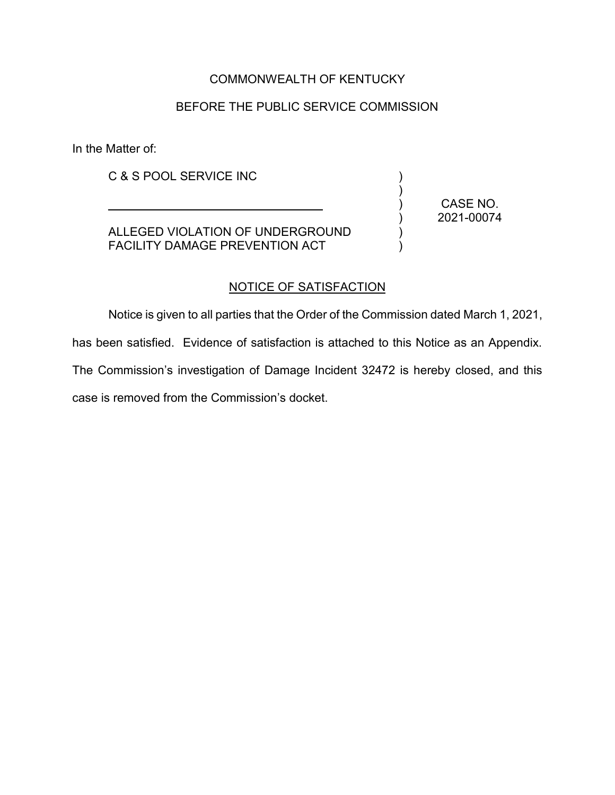# COMMONWEALTH OF KENTUCKY

### BEFORE THE PUBLIC SERVICE COMMISSION

In the Matter of:

C & S POOL SERVICE INC

ALLEGED VIOLATION OF UNDERGROUND FACILITY DAMAGE PREVENTION ACT

\_\_\_\_\_\_\_\_\_\_\_\_\_\_\_\_\_\_\_\_\_\_\_\_\_\_\_\_\_\_\_\_

CASE NO. 2021-00074

) ) ) ) ) )

#### NOTICE OF SATISFACTION

Notice is given to all parties that the Order of the Commission dated March 1, 2021,

has been satisfied. Evidence of satisfaction is attached to this Notice as an Appendix.

The Commission's investigation of Damage Incident 32472 is hereby closed, and this case is removed from the Commission's docket.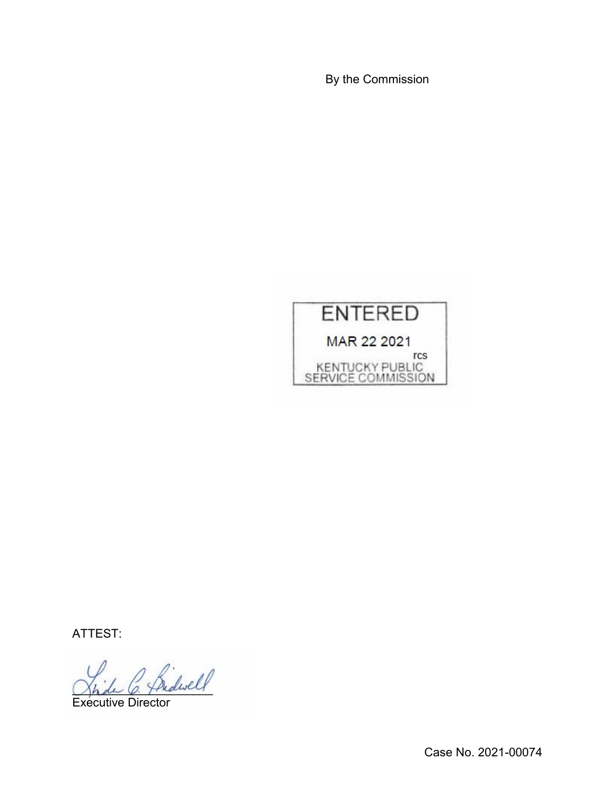By the Commission



ATTEST:

\_\_\_\_\_\_\_\_\_\_\_\_\_\_\_\_\_\_\_\_\_

Executive Director

Case No. 2021-00074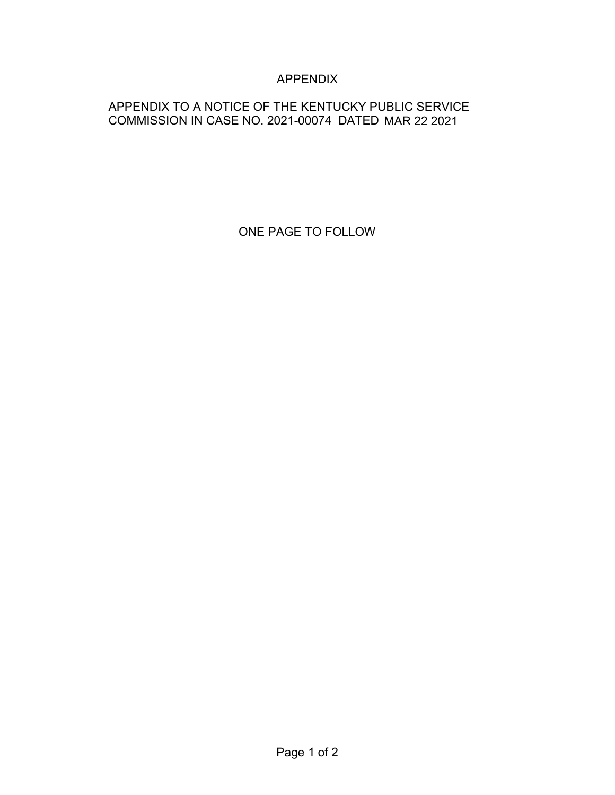# APPENDIX

# APPENDIX TO A NOTICE OF THE KENTUCKY PUBLIC SERVICE COMMISSION IN CASE NO. 2021-00074 DATED MAR 22 2021

ONE PAGE TO FOLLOW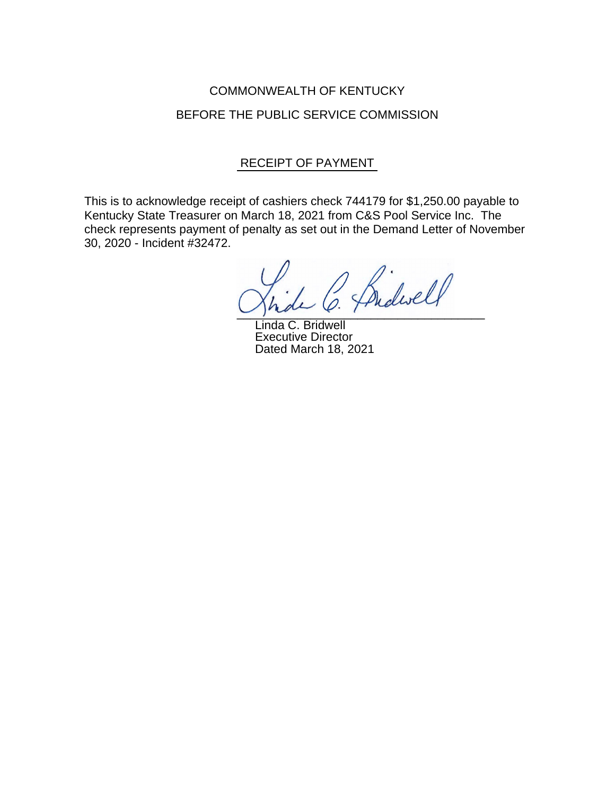# COMMONWEALTH OF KENTUCKY BEFORE THE PUBLIC SERVICE COMMISSION

# RECEIPT OF PAYMENT

This is to acknowledge receipt of cashiers check 744179 for \$1,250.00 payable to Kentucky State Treasurer on March 18, 2021 from C&S Pool Service Inc. The check represents payment of penalty as set out in the Demand Letter of November 30, 2020 - Incident #32472.

Browell  $\cup$  place  $\ell$  :

Linda C. Bridwell Executive Director Dated March 18, 2021